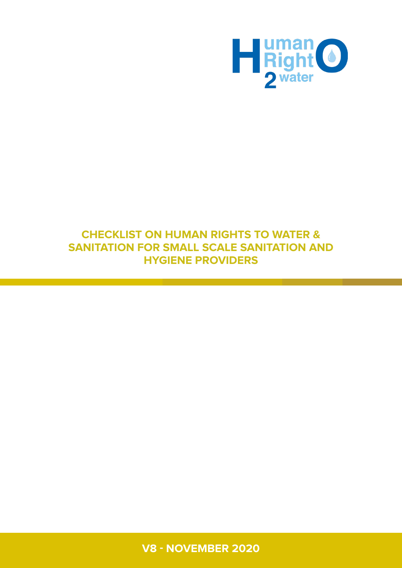

## **CHECKLIST ON HUMAN RIGHTS TO WATER & SANITATION FOR SMALL SCALE SANITATION AND HYGIENE PROVIDERS**

V8 - November 2020 **1 V8 - NOVEMBER 2020**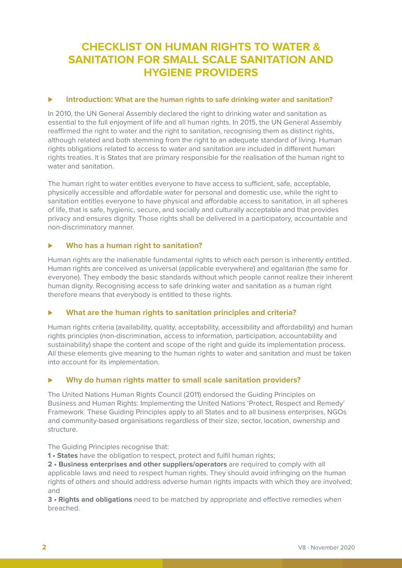# **CHECKLIST ON HUMAN RIGHTS TO WATER & SANITATION FOR SMALL SCALE SANITATION AND HYGIENE PROVIDERS**

### ⊲ **Introduction: What are the human rights to safe drinking water and sanitation?**

In 2010, the UN General Assembly declared the right to drinking water and sanitation as essential to the full enjoyment of life and all human rights. In 2015, the UN General Assembly reaffirmed the right to water and the right to sanitation, recognising them as distinct rights, although related and both stemming from the right to an adequate standard of living. Human rights obligations related to access to water and sanitation are included in different human rights treaties. It is States that are primary responsible for the realisation of the human right to water and sanitation.

The human right to water entitles everyone to have access to sufficient, safe, acceptable, physically accessible and affordable water for personal and domestic use, while the right to sanitation entitles everyone to have physical and affordable access to sanitation, in all spheres of life, that is safe, hygienic, secure, and socially and culturally acceptable and that provides privacy and ensures dignity. Those rights shall be delivered in a participatory, accountable and non-discriminatory manner.

### ⊲ **Who has a human right to sanitation?**

Human rights are the inalienable fundamental rights to which each person is inherently entitled. Human rights are conceived as universal (applicable everywhere) and egalitarian (the same for everyone). They embody the basic standards without which people cannot realize their inherent human dignity. Recognising access to safe drinking water and sanitation as a human right therefore means that everybody is entitled to these rights.

### ⊲ **What are the human rights to sanitation principles and criteria?**

Human rights criteria (availability, quality, acceptability, accessibility and affordability) and human rights principles (non-discrimination, access to information, participation, accountability and sustainability) shape the content and scope of the right and guide its implementation process. All these elements give meaning to the human rights to water and sanitation and must be taken into account for its implementation.

### ⊲ **Why do human rights matter to small scale sanitation providers?**

The United Nations Human Rights Council (2011) endorsed the Guiding Principles on Business and Human Rights: Implementing the United Nations 'Protect, Respect and Remedy' Framework. These Guiding Principles apply to all States and to all business enterprises, NGOs and community-based organisations regardless of their size, sector, location, ownership and structure.

The Guiding Principles recognise that:

**1 • States** have the obligation to respect, protect and fulfil human rights;

**2 • Business enterprises and other suppliers/operators** are required to comply with all applicable laws and need to respect human rights. They should avoid infringing on the human rights of others and should address adverse human rights impacts with which they are involved; and

**3 • Rights and obligations** need to be matched by appropriate and effective remedies when breached.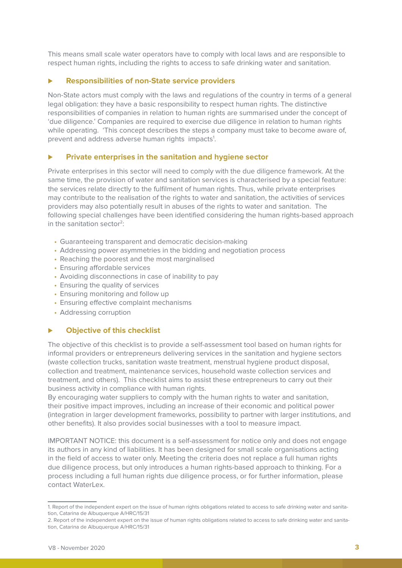This means small scale water operators have to comply with local laws and are responsible to respect human rights, including the rights to access to safe drinking water and sanitation.

#### ⊲ **Responsibilities of non-State service providers**

Non-State actors must comply with the laws and regulations of the country in terms of a general legal obligation: they have a basic responsibility to respect human rights. The distinctive responsibilities of companies in relation to human rights are summarised under the concept of 'due diligence.' Companies are required to exercise due diligence in relation to human rights while operating. 'This concept describes the steps a company must take to become aware of, prevent and address adverse human rights impacts<sup>1</sup>.

#### ⊲ **Private enterprises in the sanitation and hygiene sector**

Private enterprises in this sector will need to comply with the due diligence framework. At the same time, the provision of water and sanitation services is characterised by a special feature: the services relate directly to the fulfilment of human rights. Thus, while private enterprises may contribute to the realisation of the rights to water and sanitation, the activities of services providers may also potentially result in abuses of the rights to water and sanitation. The following special challenges have been identified considering the human rights-based approach in the sanitation sector<sup>2</sup>:

- Guaranteeing transparent and democratic decision-making
- Addressing power asymmetries in the bidding and negotiation process
- Reaching the poorest and the most marginalised
- Ensuring affordable services
- Avoiding disconnections in case of inability to pay
- Ensuring the quality of services
- Ensuring monitoring and follow up
- Ensuring effective complaint mechanisms
- Addressing corruption

#### ⊲ **Objective of this checklist**

The objective of this checklist is to provide a self-assessment tool based on human rights for informal providers or entrepreneurs delivering services in the sanitation and hygiene sectors (waste collection trucks, sanitation waste treatment, menstrual hygiene product disposal, collection and treatment, maintenance services, household waste collection services and treatment, and others). This checklist aims to assist these entrepreneurs to carry out their business activity in compliance with human rights.

By encouraging water suppliers to comply with the human rights to water and sanitation, their positive impact improves, including an increase of their economic and political power (integration in larger development frameworks, possibility to partner with larger institutions, and other benefits). It also provides social businesses with a tool to measure impact.

IMPORTANT NOTICE: this document is a self-assessment for notice only and does not engage its authors in any kind of liabilities. It has been designed for small scale organisations acting in the field of access to water only. Meeting the criteria does not replace a full human rights due diligence process, but only introduces a human rights-based approach to thinking. For a process including a full human rights due diligence process, or for further information, please contact WaterLex.

<sup>1.</sup> Report of the independent expert on the issue of human rights obligations related to access to safe drinking water and sanitation, Catarina de Albuquerque A/HRC/15/31

<sup>2.</sup> Report of the independent expert on the issue of human rights obligations related to access to safe drinking water and sanitation, Catarina de Albuquerque A/HRC/15/31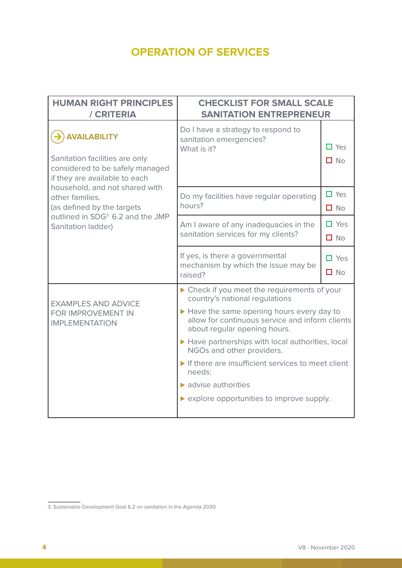# OPERATION OF SERVICES **OPERATION OF SERVICES**

| <b>HUMAN RIGHT PRINCIPLES</b><br>/ CRITERIA                                                                               | <b>CHECKLIST FOR SMALL SCALE</b><br><b>SANITATION ENTREPRENEUR</b>                                                          |                            |
|---------------------------------------------------------------------------------------------------------------------------|-----------------------------------------------------------------------------------------------------------------------------|----------------------------|
| <b>AVAILABILITY</b><br>Sanitation facilities are only<br>considered to be safely managed<br>if they are available to each | Do I have a strategy to respond to<br>sanitation emergencies?<br>What is it?                                                | $\Box$ Yes<br>$\Box$ No    |
| household, and not shared with<br>other families.<br>(as defined by the targets                                           | Do my facilities have regular operating<br>hours?                                                                           | $\Box$ Yes<br>$\Box$ No    |
| outlined in SDG <sup>3</sup> 6.2 and the JMP<br>Sanitation ladder)                                                        | Am I aware of any inadequacies in the<br>sanitation services for my clients?                                                | $\Box$ Yes<br>$\Box$ No    |
|                                                                                                                           | If yes, is there a governmental<br>mechanism by which the issue may be<br>raised?                                           | $\Box$ Yes<br>$\square$ No |
|                                                                                                                           | ▶ Check if you meet the requirements of your<br>country's national regulations                                              |                            |
| <b>EXAMPLES AND ADVICE</b><br>FOR IMPROVEMENT IN<br><b>IMPLEMENTATION</b>                                                 | Have the same opening hours every day to<br>allow for continuous service and inform clients<br>about regular opening hours. |                            |
|                                                                                                                           | ▶ Have partnerships with local authorities, local<br>NGOs and other providers.                                              |                            |
|                                                                                                                           | If there are insufficient services to meet client<br>needs:                                                                 |                            |
|                                                                                                                           | $\blacktriangleright$ advise authorities                                                                                    |                            |
|                                                                                                                           | ▶ explore opportunities to improve supply.                                                                                  |                            |

<sup>3.</sup> Sustainable Development Goal 6.2 on sanitation in the Agenda 2030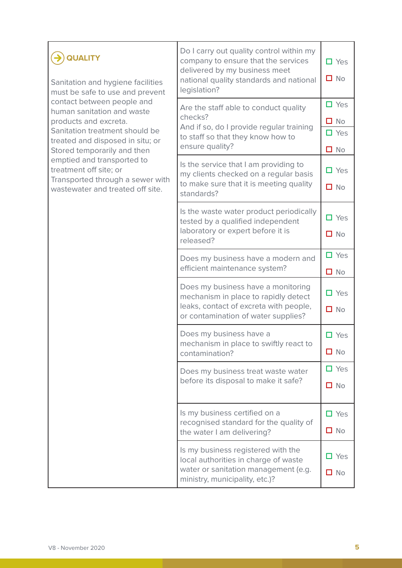| <b>QUALITY</b><br>Sanitation and hygiene facilities<br>must be safe to use and prevent<br>contact between people and<br>human sanitation and waste<br>products and excreta.<br>Sanitation treatment should be<br>treated and disposed in situ; or<br>Stored temporarily and then | Do I carry out quality control within my<br>company to ensure that the services<br>delivered by my business meet<br>national quality standards and national<br>legislation? | $\Box$ Yes<br>$\square$ No                            |
|----------------------------------------------------------------------------------------------------------------------------------------------------------------------------------------------------------------------------------------------------------------------------------|-----------------------------------------------------------------------------------------------------------------------------------------------------------------------------|-------------------------------------------------------|
|                                                                                                                                                                                                                                                                                  | Are the staff able to conduct quality<br>checks?<br>And if so, do I provide regular training<br>to staff so that they know how to<br>ensure quality?                        | $\Box$ Yes<br>$\square$ No<br>$\Box$ Yes<br>$\Box$ No |
| emptied and transported to<br>treatment off site; or<br>Transported through a sewer with<br>wastewater and treated off site.                                                                                                                                                     | Is the service that I am providing to<br>my clients checked on a regular basis<br>to make sure that it is meeting quality<br>standards?                                     | $\Box$ Yes<br>$\square$ No                            |
|                                                                                                                                                                                                                                                                                  | Is the waste water product periodically<br>tested by a qualified independent<br>laboratory or expert before it is<br>released?                                              | $\Box$ Yes<br>$\square$ No                            |
|                                                                                                                                                                                                                                                                                  | Does my business have a modern and<br>efficient maintenance system?                                                                                                         | $\Box$ Yes<br>$\Box$ No                               |
|                                                                                                                                                                                                                                                                                  | Does my business have a monitoring<br>mechanism in place to rapidly detect<br>leaks, contact of excreta with people,<br>or contamination of water supplies?                 | $\Box$ Yes<br>$\Box$ No                               |
|                                                                                                                                                                                                                                                                                  | Does my business have a<br>mechanism in place to swiftly react to<br>contamination?                                                                                         | $\Box$ Yes<br>$\square$ No                            |
|                                                                                                                                                                                                                                                                                  | Does my business treat waste water<br>before its disposal to make it safe?                                                                                                  | $\Box$ Yes<br>$\Box$ No                               |
|                                                                                                                                                                                                                                                                                  | Is my business certified on a<br>recognised standard for the quality of<br>the water I am delivering?                                                                       | $\Box$ Yes<br>$\square$ No                            |
|                                                                                                                                                                                                                                                                                  | Is my business registered with the<br>local authorities in charge of waste<br>water or sanitation management (e.g.<br>ministry, municipality, etc.)?                        | $\Box$ Yes<br>$\square$ No                            |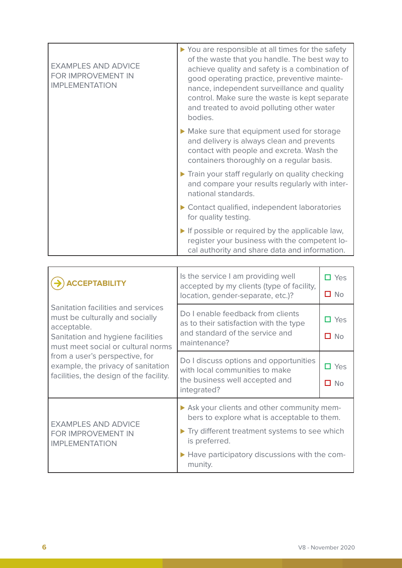| <b>EXAMPLES AND ADVICE</b><br>FOR IMPROVEMENT IN<br><b>IMPLEMENTATION</b> | ▶ You are responsible at all times for the safety<br>of the waste that you handle. The best way to<br>achieve quality and safety is a combination of<br>good operating practice, preventive mainte-<br>nance, independent surveillance and quality<br>control. Make sure the waste is kept separate<br>and treated to avoid polluting other water<br>bodies. |
|---------------------------------------------------------------------------|--------------------------------------------------------------------------------------------------------------------------------------------------------------------------------------------------------------------------------------------------------------------------------------------------------------------------------------------------------------|
|                                                                           | Make sure that equipment used for storage<br>and delivery is always clean and prevents<br>contact with people and excreta. Wash the<br>containers thoroughly on a regular basis.                                                                                                                                                                             |
|                                                                           | Train your staff regularly on quality checking<br>and compare your results regularly with inter-<br>national standards.                                                                                                                                                                                                                                      |
|                                                                           | ▶ Contact qualified, independent laboratories<br>for quality testing.                                                                                                                                                                                                                                                                                        |
|                                                                           | If possible or required by the applicable law,<br>register your business with the competent lo-<br>cal authority and share data and information.                                                                                                                                                                                                             |

| <b>CCEPTABILITY</b>                                                                                                                                                                                                                                                                | Is the service I am providing well<br>accepted by my clients (type of facility,<br>location, gender-separate, etc.)?                                      | П Yes<br>$\Box$ No                |
|------------------------------------------------------------------------------------------------------------------------------------------------------------------------------------------------------------------------------------------------------------------------------------|-----------------------------------------------------------------------------------------------------------------------------------------------------------|-----------------------------------|
| Sanitation facilities and services<br>must be culturally and socially<br>acceptable.<br>Sanitation and hygiene facilities<br>must meet social or cultural norms<br>from a user's perspective, for<br>example, the privacy of sanitation<br>facilities, the design of the facility. | Do I enable feedback from clients<br>as to their satisfaction with the type<br>and standard of the service and<br>maintenance?                            | $\Box$ Yes<br>N <sub>O</sub><br>П |
|                                                                                                                                                                                                                                                                                    | Do I discuss options and opportunities<br>with local communities to make<br>the business well accepted and<br>integrated?                                 | $\Box$ Yes<br>п<br>No             |
| <b>EXAMPLES AND ADVICE</b><br>FOR IMPROVEMENT IN<br><b>IMPLEMENTATION</b>                                                                                                                                                                                                          | Ask your clients and other community mem-<br>bers to explore what is acceptable to them.<br>Try different treatment systems to see which<br>is preferred. |                                   |
|                                                                                                                                                                                                                                                                                    | ▶ Have participatory discussions with the com-<br>munity.                                                                                                 |                                   |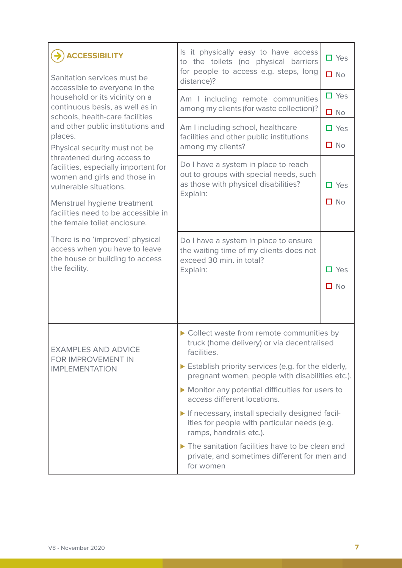| <b>ACCESSIBILITY</b><br>Sanitation services must be<br>accessible to everyone in the                                                                                                                                                | Is it physically easy to have access<br>to the toilets (no physical barriers<br>for people to access e.g. steps, long<br>distance)?                                                                                                                                                                                                                                                                                                                                                                                                           | $\Box$ Yes<br>$\Box$ No    |
|-------------------------------------------------------------------------------------------------------------------------------------------------------------------------------------------------------------------------------------|-----------------------------------------------------------------------------------------------------------------------------------------------------------------------------------------------------------------------------------------------------------------------------------------------------------------------------------------------------------------------------------------------------------------------------------------------------------------------------------------------------------------------------------------------|----------------------------|
| household or its vicinity on a<br>continuous basis, as well as in<br>schools, health-care facilities                                                                                                                                | Am I including remote communities<br>among my clients (for waste collection)?                                                                                                                                                                                                                                                                                                                                                                                                                                                                 | $\square$ Yes<br>$\Box$ No |
| and other public institutions and<br>places.<br>Physical security must not be                                                                                                                                                       | Am I including school, healthcare<br>facilities and other public institutions<br>among my clients?                                                                                                                                                                                                                                                                                                                                                                                                                                            | $\Box$ Yes<br>$\square$ No |
| threatened during access to<br>facilities, especially important for<br>women and girls and those in<br>vulnerable situations.<br>Menstrual hygiene treatment<br>facilities need to be accessible in<br>the female toilet enclosure. | Do I have a system in place to reach<br>out to groups with special needs, such<br>as those with physical disabilities?<br>Explain:                                                                                                                                                                                                                                                                                                                                                                                                            | $\Box$ Yes<br>$\Box$ No    |
| There is no 'improved' physical<br>access when you have to leave<br>the house or building to access<br>the facility.                                                                                                                | Do I have a system in place to ensure<br>the waiting time of my clients does not<br>exceed 30 min. in total?<br>Explain:                                                                                                                                                                                                                                                                                                                                                                                                                      | $\Box$ Yes<br>$\square$ No |
| <b>EXAMPLES AND ADVICE</b><br>FOR IMPROVEMENT IN<br><b>IMPLEMENTATION</b>                                                                                                                                                           | Collect waste from remote communities by<br>truck (home delivery) or via decentralised<br>facilities.<br>Establish priority services (e.g. for the elderly,<br>pregnant women, people with disabilities etc.).<br>Monitor any potential difficulties for users to<br>access different locations.<br>If necessary, install specially designed facil-<br>ities for people with particular needs (e.g.<br>ramps, handrails etc.).<br>The sanitation facilities have to be clean and<br>private, and sometimes different for men and<br>for women |                            |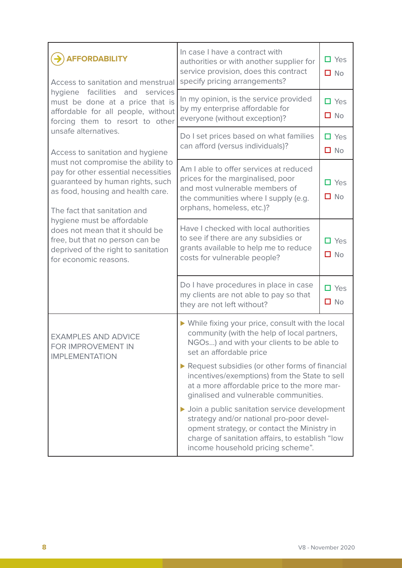| <b>AFFORDABILITY</b><br>Access to sanitation and menstrual                                                                                                                                                                                                                                                                                             | In case I have a contract with<br>authorities or with another supplier for<br>service provision, does this contract<br>specify pricing arrangements?                                                                              | $\Box$ Yes<br>$\Box$ No       |
|--------------------------------------------------------------------------------------------------------------------------------------------------------------------------------------------------------------------------------------------------------------------------------------------------------------------------------------------------------|-----------------------------------------------------------------------------------------------------------------------------------------------------------------------------------------------------------------------------------|-------------------------------|
| hygiene<br>facilities<br>and services<br>must be done at a price that is<br>affordable for all people, without<br>forcing them to resort to other                                                                                                                                                                                                      | In my opinion, is the service provided<br>by my enterprise affordable for<br>everyone (without exception)?                                                                                                                        | $\Box$ Yes<br>$\Box$ No       |
| unsafe alternatives.<br>Access to sanitation and hygiene                                                                                                                                                                                                                                                                                               | Do I set prices based on what families<br>can afford (versus individuals)?                                                                                                                                                        | $\Box$ Yes<br>$\Box$ No       |
| must not compromise the ability to<br>pay for other essential necessities<br>guaranteed by human rights, such<br>as food, housing and health care.<br>The fact that sanitation and<br>hygiene must be affordable<br>does not mean that it should be<br>free, but that no person can be<br>deprived of the right to sanitation<br>for economic reasons. | Am I able to offer services at reduced<br>prices for the marginalised, poor<br>and most vulnerable members of<br>the communities where I supply (e.g.<br>orphans, homeless, etc.)?                                                | $\Box$ Yes<br>$\square$ No    |
|                                                                                                                                                                                                                                                                                                                                                        | Have I checked with local authorities<br>to see if there are any subsidies or<br>grants available to help me to reduce<br>costs for vulnerable people?                                                                            | $\square$ Yes<br>$\square$ No |
|                                                                                                                                                                                                                                                                                                                                                        | Do I have procedures in place in case<br>my clients are not able to pay so that<br>they are not left without?                                                                                                                     | $\Box$ Yes<br>$\square$ No    |
| <b>EXAMPLES AND ADVICE</b><br>FOR IMPROVEMENT IN<br><b>IMPLEMENTATION</b>                                                                                                                                                                                                                                                                              | ▶ While fixing your price, consult with the local<br>community (with the help of local partners,<br>NGOs) and with your clients to be able to<br>set an affordable price                                                          |                               |
|                                                                                                                                                                                                                                                                                                                                                        | Request subsidies (or other forms of financial<br>incentives/exemptions) from the State to sell<br>at a more affordable price to the more mar-<br>ginalised and vulnerable communities.                                           |                               |
|                                                                                                                                                                                                                                                                                                                                                        | ▶ Join a public sanitation service development<br>strategy and/or national pro-poor devel-<br>opment strategy, or contact the Ministry in<br>charge of sanitation affairs, to establish "low<br>income household pricing scheme". |                               |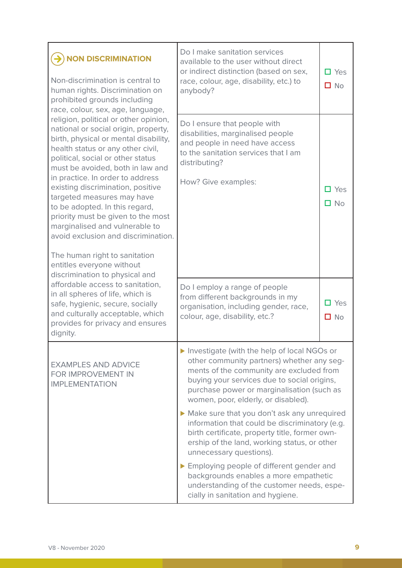| <b>NON DISCRIMINATION</b><br>Non-discrimination is central to<br>human rights. Discrimination on<br>prohibited grounds including<br>race, colour, sex, age, language,<br>religion, political or other opinion,<br>national or social origin, property,<br>birth, physical or mental disability,<br>health status or any other civil,<br>political, social or other status<br>must be avoided, both in law and<br>in practice. In order to address<br>existing discrimination, positive<br>targeted measures may have<br>to be adopted. In this regard,<br>priority must be given to the most<br>marginalised and vulnerable to<br>avoid exclusion and discrimination.<br>The human right to sanitation<br>entitles everyone without<br>discrimination to physical and<br>affordable access to sanitation,<br>in all spheres of life, which is<br>safe, hygienic, secure, socially<br>and culturally acceptable, which | Do I make sanitation services<br>available to the user without direct<br>or indirect distinction (based on sex,<br>race, colour, age, disability, etc.) to<br>anybody?                                                                                                                                                              | $\Box$ Yes<br>$\Box$ No                                     |
|-----------------------------------------------------------------------------------------------------------------------------------------------------------------------------------------------------------------------------------------------------------------------------------------------------------------------------------------------------------------------------------------------------------------------------------------------------------------------------------------------------------------------------------------------------------------------------------------------------------------------------------------------------------------------------------------------------------------------------------------------------------------------------------------------------------------------------------------------------------------------------------------------------------------------|-------------------------------------------------------------------------------------------------------------------------------------------------------------------------------------------------------------------------------------------------------------------------------------------------------------------------------------|-------------------------------------------------------------|
|                                                                                                                                                                                                                                                                                                                                                                                                                                                                                                                                                                                                                                                                                                                                                                                                                                                                                                                       | Do I ensure that people with<br>disabilities, marginalised people<br>and people in need have access<br>to the sanitation services that I am<br>distributing?<br>How? Give examples:<br>Do I employ a range of people<br>from different backgrounds in my<br>organisation, including gender, race,<br>colour, age, disability, etc.? | $\square$ Yes<br>$\square$ No<br>$\Box$ Yes<br>$\square$ No |
| dignity.                                                                                                                                                                                                                                                                                                                                                                                                                                                                                                                                                                                                                                                                                                                                                                                                                                                                                                              |                                                                                                                                                                                                                                                                                                                                     |                                                             |
| <b>EXAMPLES AND ADVICE</b><br>FOR IMPROVEMENT IN<br><b>IMPLEMENTATION</b>                                                                                                                                                                                                                                                                                                                                                                                                                                                                                                                                                                                                                                                                                                                                                                                                                                             | Investigate (with the help of local NGOs or<br>other community partners) whether any seg-<br>ments of the community are excluded from<br>buying your services due to social origins,<br>purchase power or marginalisation (such as<br>women, poor, elderly, or disabled).                                                           |                                                             |
|                                                                                                                                                                                                                                                                                                                                                                                                                                                                                                                                                                                                                                                                                                                                                                                                                                                                                                                       | Make sure that you don't ask any unrequired<br>information that could be discriminatory (e.g.<br>birth certificate, property title, former own-<br>ership of the land, working status, or other<br>unnecessary questions).                                                                                                          |                                                             |
|                                                                                                                                                                                                                                                                                                                                                                                                                                                                                                                                                                                                                                                                                                                                                                                                                                                                                                                       | Employing people of different gender and<br>backgrounds enables a more empathetic<br>understanding of the customer needs, espe-<br>cially in sanitation and hygiene.                                                                                                                                                                |                                                             |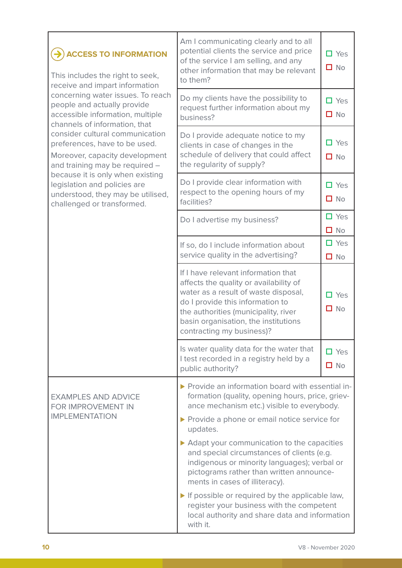| <b>ACCESS TO INFORMATION</b><br>This includes the right to seek,<br>receive and impart information                                    | Am I communicating clearly and to all<br>potential clients the service and price<br>of the service I am selling, and any<br>other information that may be relevant<br>to them?                                                                                                                                                                                                                                                                                                                                                                                                                                           | $\Box$ Yes<br>$\Box$ No           |
|---------------------------------------------------------------------------------------------------------------------------------------|--------------------------------------------------------------------------------------------------------------------------------------------------------------------------------------------------------------------------------------------------------------------------------------------------------------------------------------------------------------------------------------------------------------------------------------------------------------------------------------------------------------------------------------------------------------------------------------------------------------------------|-----------------------------------|
| concerning water issues. To reach<br>people and actually provide<br>accessible information, multiple<br>channels of information, that | Do my clients have the possibility to<br>request further information about my<br>business?                                                                                                                                                                                                                                                                                                                                                                                                                                                                                                                               | $\square$ Yes<br>$\Box$ No        |
| consider cultural communication<br>preferences, have to be used.<br>Moreover, capacity development<br>and training may be required -  | Do I provide adequate notice to my<br>clients in case of changes in the<br>schedule of delivery that could affect<br>the regularity of supply?                                                                                                                                                                                                                                                                                                                                                                                                                                                                           | $\Box$ Yes<br>$\Box$ No           |
| because it is only when existing<br>legislation and policies are<br>understood, they may be utilised,<br>challenged or transformed.   | Do I provide clear information with<br>respect to the opening hours of my<br>facilities?                                                                                                                                                                                                                                                                                                                                                                                                                                                                                                                                 | $\Box$ Yes<br>$\Box$ No           |
|                                                                                                                                       | Do I advertise my business?                                                                                                                                                                                                                                                                                                                                                                                                                                                                                                                                                                                              | $\Box$ Yes<br><b>No</b><br>$\Box$ |
|                                                                                                                                       | If so, do I include information about<br>service quality in the advertising?                                                                                                                                                                                                                                                                                                                                                                                                                                                                                                                                             | $\Box$ Yes<br>$\square$ No        |
|                                                                                                                                       | If I have relevant information that<br>affects the quality or availability of<br>water as a result of waste disposal,<br>do I provide this information to<br>the authorities (municipality, river<br>basin organisation, the institutions<br>contracting my business)?                                                                                                                                                                                                                                                                                                                                                   | Yes<br>П.<br>$\square$ No         |
|                                                                                                                                       | Is water quality data for the water that<br>I test recorded in a registry held by a<br>public authority?                                                                                                                                                                                                                                                                                                                                                                                                                                                                                                                 | $\Box$ Yes<br>$\Box$ No           |
| <b>EXAMPLES AND ADVICE</b><br>FOR IMPROVEMENT IN<br><b>IMPLEMENTATION</b>                                                             | ▶ Provide an information board with essential in-<br>formation (quality, opening hours, price, griev-<br>ance mechanism etc.) visible to everybody.<br>▶ Provide a phone or email notice service for<br>updates.<br>Adapt your communication to the capacities<br>and special circumstances of clients (e.g.<br>indigenous or minority languages); verbal or<br>pictograms rather than written announce-<br>ments in cases of illiteracy).<br>$\triangleright$ If possible or required by the applicable law,<br>register your business with the competent<br>local authority and share data and information<br>with it. |                                   |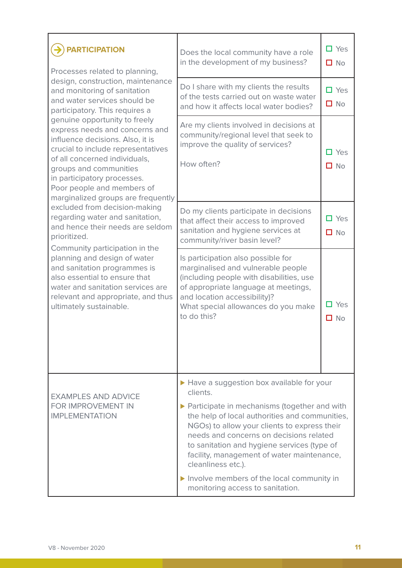| <b>PARTICIPATION</b><br>Processes related to planning,                                                                                                                                                                                                                                                                                                                                                                                                                                                                                                                                                                                                                   | Does the local community have a role<br>in the development of my business?                                                                                                                                                                                                                                                                                                                                                                              | $\Box$ Yes<br>$\square$ No |
|--------------------------------------------------------------------------------------------------------------------------------------------------------------------------------------------------------------------------------------------------------------------------------------------------------------------------------------------------------------------------------------------------------------------------------------------------------------------------------------------------------------------------------------------------------------------------------------------------------------------------------------------------------------------------|---------------------------------------------------------------------------------------------------------------------------------------------------------------------------------------------------------------------------------------------------------------------------------------------------------------------------------------------------------------------------------------------------------------------------------------------------------|----------------------------|
| design, construction, maintenance<br>and monitoring of sanitation<br>and water services should be<br>participatory. This requires a                                                                                                                                                                                                                                                                                                                                                                                                                                                                                                                                      | Do I share with my clients the results<br>of the tests carried out on waste water<br>and how it affects local water bodies?                                                                                                                                                                                                                                                                                                                             | $\Box$ Yes<br>$\square$ No |
| genuine opportunity to freely<br>express needs and concerns and<br>influence decisions. Also, it is<br>crucial to include representatives<br>of all concerned individuals,<br>groups and communities<br>in participatory processes.<br>Poor people and members of<br>marginalized groups are frequently<br>excluded from decision-making<br>regarding water and sanitation,<br>and hence their needs are seldom<br>prioritized.<br>Community participation in the<br>planning and design of water<br>and sanitation programmes is<br>also essential to ensure that<br>water and sanitation services are<br>relevant and appropriate, and thus<br>ultimately sustainable. | Are my clients involved in decisions at<br>community/regional level that seek to<br>improve the quality of services?<br>How often?                                                                                                                                                                                                                                                                                                                      | $\Box$ Yes<br>$\Box$ No    |
|                                                                                                                                                                                                                                                                                                                                                                                                                                                                                                                                                                                                                                                                          | Do my clients participate in decisions<br>that affect their access to improved<br>sanitation and hygiene services at<br>community/river basin level?                                                                                                                                                                                                                                                                                                    | $\Box$ Yes<br>$\Box$ No    |
|                                                                                                                                                                                                                                                                                                                                                                                                                                                                                                                                                                                                                                                                          | Is participation also possible for<br>marginalised and vulnerable people<br>(including people with disabilities, use<br>of appropriate language at meetings,<br>and location accessibility)?<br>What special allowances do you make<br>to do this?                                                                                                                                                                                                      | $\Box$ Yes<br>$\Box$ No    |
| <b>EXAMPLES AND ADVICE</b><br>FOR IMPROVEMENT IN<br><b>IMPLEMENTATION</b>                                                                                                                                                                                                                                                                                                                                                                                                                                                                                                                                                                                                | Have a suggestion box available for your<br>clients.<br>▶ Participate in mechanisms (together and with<br>the help of local authorities and communities,<br>NGOs) to allow your clients to express their<br>needs and concerns on decisions related<br>to sanitation and hygiene services (type of<br>facility, management of water maintenance,<br>cleanliness etc.).<br>Involve members of the local community in<br>monitoring access to sanitation. |                            |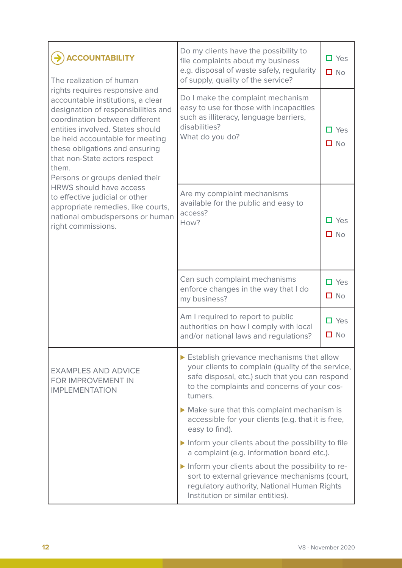| <b>ACCOUNTABILITY</b><br>The realization of human<br>rights requires responsive and<br>accountable institutions, a clear<br>designation of responsibilities and<br>coordination between different<br>entities involved. States should<br>be held accountable for meeting<br>these obligations and ensuring<br>that non-State actors respect<br>them.<br>Persons or groups denied their<br><b>HRWS should have access</b><br>to effective judicial or other<br>appropriate remedies, like courts,<br>national ombudspersons or human<br>right commissions. | Do my clients have the possibility to<br>file complaints about my business<br>e.g. disposal of waste safely, regularity<br>of supply, quality of the service?                                              | $\Box$ Yes<br>$\Box$ No    |
|-----------------------------------------------------------------------------------------------------------------------------------------------------------------------------------------------------------------------------------------------------------------------------------------------------------------------------------------------------------------------------------------------------------------------------------------------------------------------------------------------------------------------------------------------------------|------------------------------------------------------------------------------------------------------------------------------------------------------------------------------------------------------------|----------------------------|
|                                                                                                                                                                                                                                                                                                                                                                                                                                                                                                                                                           | Do I make the complaint mechanism<br>easy to use for those with incapacities<br>such as illiteracy, language barriers,<br>disabilities?<br>What do you do?                                                 | $\Box$ Yes<br>$\Box$ No    |
|                                                                                                                                                                                                                                                                                                                                                                                                                                                                                                                                                           | Are my complaint mechanisms<br>available for the public and easy to<br>access?<br>How?                                                                                                                     | $\Box$ Yes<br>$\Box$ No    |
|                                                                                                                                                                                                                                                                                                                                                                                                                                                                                                                                                           | Can such complaint mechanisms<br>enforce changes in the way that I do<br>my business?                                                                                                                      | $\Box$ Yes<br>$\Box$ No    |
|                                                                                                                                                                                                                                                                                                                                                                                                                                                                                                                                                           | Am I required to report to public<br>authorities on how I comply with local<br>and/or national laws and regulations?                                                                                       | $\Box$ Yes<br>$\square$ No |
| <b>EXAMPLES AND ADVICE</b><br>FOR IMPROVEMENT IN<br><b>IMPLEMENTATION</b>                                                                                                                                                                                                                                                                                                                                                                                                                                                                                 | Establish grievance mechanisms that allow<br>your clients to complain (quality of the service,<br>safe disposal, etc.) such that you can respond<br>to the complaints and concerns of your cos-<br>tumers. |                            |
|                                                                                                                                                                                                                                                                                                                                                                                                                                                                                                                                                           | Make sure that this complaint mechanism is<br>accessible for your clients (e.g. that it is free,<br>easy to find).                                                                                         |                            |
|                                                                                                                                                                                                                                                                                                                                                                                                                                                                                                                                                           | Inform your clients about the possibility to file<br>a complaint (e.g. information board etc.).                                                                                                            |                            |
|                                                                                                                                                                                                                                                                                                                                                                                                                                                                                                                                                           | Inform your clients about the possibility to re-<br>sort to external grievance mechanisms (court,<br>regulatory authority, National Human Rights<br>Institution or similar entities).                      |                            |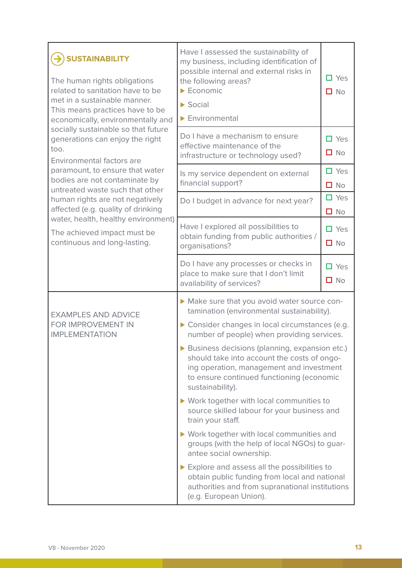| <b>SUSTAINABILITY</b><br>The human rights obligations<br>related to sanitation have to be<br>met in a sustainable manner.<br>This means practices have to be<br>economically, environmentally and | Have I assessed the sustainability of<br>my business, including identification of<br>possible internal and external risks in<br>the following areas?<br>$\blacktriangleright$ Economic<br>$\triangleright$ Social<br>$\blacktriangleright$ Environmental | $\Box$ Yes<br>$\Box$ No |
|---------------------------------------------------------------------------------------------------------------------------------------------------------------------------------------------------|----------------------------------------------------------------------------------------------------------------------------------------------------------------------------------------------------------------------------------------------------------|-------------------------|
| socially sustainable so that future<br>generations can enjoy the right<br>too.<br>Environmental factors are                                                                                       | Do I have a mechanism to ensure<br>effective maintenance of the<br>infrastructure or technology used?                                                                                                                                                    | $\Box$ Yes<br>$\Box$ No |
| paramount, to ensure that water<br>bodies are not contaminate by<br>untreated waste such that other                                                                                               | Is my service dependent on external<br>financial support?                                                                                                                                                                                                | $\Box$ Yes<br>$\Box$ No |
| human rights are not negatively<br>affected (e.g. quality of drinking                                                                                                                             | Do I budget in advance for next year?                                                                                                                                                                                                                    | $\Box$ Yes<br>$\Box$ No |
| water, health, healthy environment)<br>The achieved impact must be<br>continuous and long-lasting.                                                                                                | Have I explored all possibilities to<br>obtain funding from public authorities /<br>organisations?                                                                                                                                                       | $\Box$ Yes<br>$\Box$ No |
|                                                                                                                                                                                                   | Do I have any processes or checks in<br>place to make sure that I don't limit<br>availability of services?                                                                                                                                               | $\Box$ Yes<br>$\Box$ No |
| <b>EXAMPLES AND ADVICE</b><br>FOR IMPROVEMENT IN<br><b>IMPLEMENTATION</b>                                                                                                                         | Make sure that you avoid water source con-<br>tamination (environmental sustainability).<br>Consider changes in local circumstances (e.g.<br>number of people) when providing services.                                                                  |                         |
|                                                                                                                                                                                                   | Business decisions (planning, expansion etc.)<br>should take into account the costs of ongo-<br>ing operation, management and investment<br>to ensure continued functioning (economic<br>sustainability).                                                |                         |
|                                                                                                                                                                                                   | ▶ Work together with local communities to<br>source skilled labour for your business and<br>train your staff.                                                                                                                                            |                         |
|                                                                                                                                                                                                   | ▶ Work together with local communities and<br>groups (with the help of local NGOs) to guar-<br>antee social ownership.                                                                                                                                   |                         |
|                                                                                                                                                                                                   | Explore and assess all the possibilities to<br>obtain public funding from local and national<br>authorities and from supranational institutions<br>(e.g. European Union).                                                                                |                         |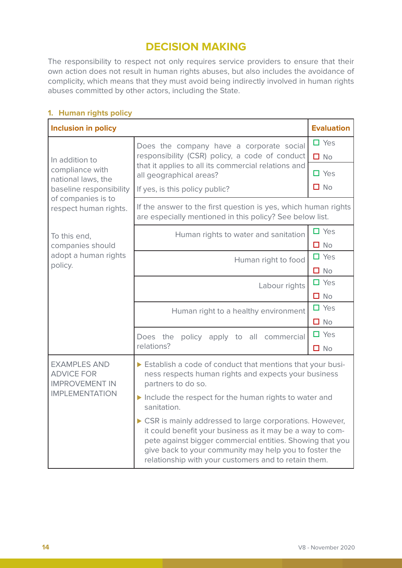## **DECISION MAKING**

The responsibility to respect not only requires service providers to ensure that their own action does not result in human rights abuses, but also includes the avoidance of complicity, which means that they must avoid being indirectly involved in human rights abuses committed by other actors, including the State.

## **1. Human rights policy**

| <b>Inclusion in policy</b>                                                                                                                                                                                   |                                                                                                                                                                                                                                                                                                     | <b>Evaluation</b>       |
|--------------------------------------------------------------------------------------------------------------------------------------------------------------------------------------------------------------|-----------------------------------------------------------------------------------------------------------------------------------------------------------------------------------------------------------------------------------------------------------------------------------------------------|-------------------------|
| In addition to                                                                                                                                                                                               | Does the company have a corporate social<br>responsibility (CSR) policy, a code of conduct                                                                                                                                                                                                          | $\Box$ Yes<br>$\Box$ No |
| compliance with<br>national laws, the                                                                                                                                                                        | that it applies to all its commercial relations and<br>all geographical areas?                                                                                                                                                                                                                      | $\Box$ Yes              |
| baseline responsibility                                                                                                                                                                                      | If yes, is this policy public?                                                                                                                                                                                                                                                                      | $\Box$ No               |
| of companies is to<br>respect human rights.                                                                                                                                                                  | If the answer to the first question is yes, which human rights<br>are especially mentioned in this policy? See below list.                                                                                                                                                                          |                         |
| To this end,                                                                                                                                                                                                 | Human rights to water and sanitation                                                                                                                                                                                                                                                                | $\Box$ Yes              |
| companies should                                                                                                                                                                                             |                                                                                                                                                                                                                                                                                                     | $\Box$ No               |
| adopt a human rights                                                                                                                                                                                         | Human right to food                                                                                                                                                                                                                                                                                 | $\Box$ Yes              |
| policy.                                                                                                                                                                                                      |                                                                                                                                                                                                                                                                                                     | $\Box$ No               |
|                                                                                                                                                                                                              | Labour rights                                                                                                                                                                                                                                                                                       | $\Box$ Yes              |
|                                                                                                                                                                                                              |                                                                                                                                                                                                                                                                                                     | $\Box$ No               |
|                                                                                                                                                                                                              | Human right to a healthy environment                                                                                                                                                                                                                                                                | $\Box$ Yes              |
|                                                                                                                                                                                                              |                                                                                                                                                                                                                                                                                                     | $\Box$ No               |
|                                                                                                                                                                                                              | Does the<br>policy apply to all commercial                                                                                                                                                                                                                                                          | $\Box$ Yes              |
|                                                                                                                                                                                                              | relations?                                                                                                                                                                                                                                                                                          | $\Box$ No               |
| <b>EXAMPLES AND</b><br>Establish a code of conduct that mentions that your busi-<br><b>ADVICE FOR</b><br>ness respects human rights and expects your business<br><b>IMPROVEMENT IN</b><br>partners to do so. |                                                                                                                                                                                                                                                                                                     |                         |
| <b>IMPLEMENTATION</b>                                                                                                                                                                                        | Include the respect for the human rights to water and<br>sanitation.                                                                                                                                                                                                                                |                         |
|                                                                                                                                                                                                              | CSR is mainly addressed to large corporations. However,<br>it could benefit your business as it may be a way to com-<br>pete against bigger commercial entities. Showing that you<br>give back to your community may help you to foster the<br>relationship with your customers and to retain them. |                         |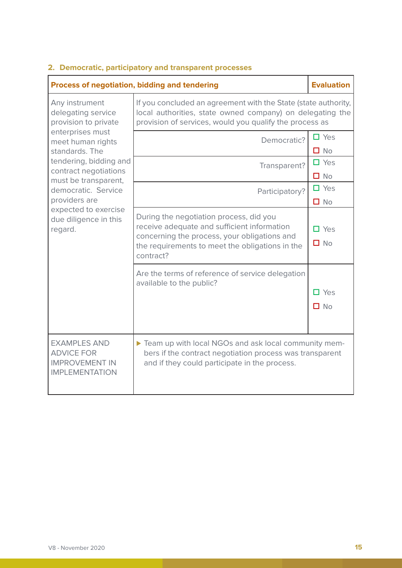#### **Process of negotiation, bidding and tendering <b>Evaluation Evaluation** Any instrument delegating service provision to private enterprises must meet human rights standards. The tendering, bidding and contract negotiations must be transparent, democratic. Service providers are expected to exercise due diligence in this regard. If you concluded an agreement with the State (state authority, local authorities, state owned company) on delegating the provision of services, would you qualify the process as  $Democratic?$   $\Box$  Yes  $\Box$  No Transparent?  $\Box$  Yes  $\n **Na**\n$ Participatory?  $\Box$  Yes ■ No During the negotiation process, did you receive adequate and sufficient information concerning the process, your obligations and the requirements to meet the obligations in the contract? □ Yes  $\n **Na**\n$ Are the terms of reference of service delegation available to the public? Yes  $\Box$  No EXAMPLES AND ADVICE FOR IMPROVEMENT IN IMPLEMENTATION ► Team up with local NGOs and ask local community members if the contract negotiation process was transparent and if they could participate in the process.

### **2. Democratic, participatory and transparent processes**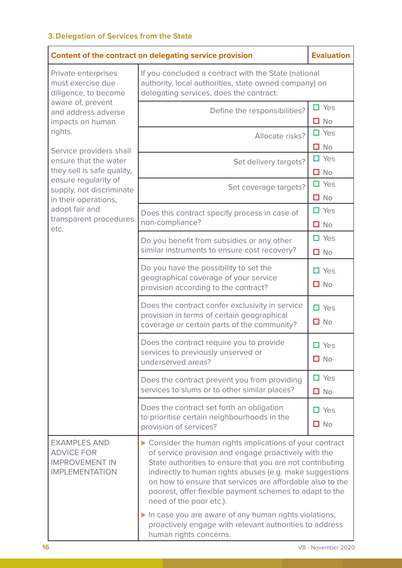## **3.Delegation of Services from the State**

| Content of the contract on delegating service provision                                                                                                                                                                                                                                                                                                       |                                                                                                                                                                                                                                                                                                                                                                                                                                                                                                                                             |                            |
|---------------------------------------------------------------------------------------------------------------------------------------------------------------------------------------------------------------------------------------------------------------------------------------------------------------------------------------------------------------|---------------------------------------------------------------------------------------------------------------------------------------------------------------------------------------------------------------------------------------------------------------------------------------------------------------------------------------------------------------------------------------------------------------------------------------------------------------------------------------------------------------------------------------------|----------------------------|
| Private enterprises<br>must exercise due<br>diligence, to become<br>aware of, prevent<br>and address adverse<br>impacts on human<br>rights.<br>Service providers shall<br>ensure that the water<br>they sell is safe quality,<br>ensure regularity of<br>supply, not discriminate<br>in their operations,<br>adopt fair and<br>transparent procedures<br>etc. | If you concluded a contract with the State (national<br>authority, local authorities, state owned company) on<br>delegating services, does the contract:                                                                                                                                                                                                                                                                                                                                                                                    |                            |
|                                                                                                                                                                                                                                                                                                                                                               | Define the responsibilities?                                                                                                                                                                                                                                                                                                                                                                                                                                                                                                                | $\square$ Yes<br>$\Box$ No |
|                                                                                                                                                                                                                                                                                                                                                               | Allocate risks?                                                                                                                                                                                                                                                                                                                                                                                                                                                                                                                             | $\square$ Yes<br>$\Box$ No |
|                                                                                                                                                                                                                                                                                                                                                               | Set delivery targets?                                                                                                                                                                                                                                                                                                                                                                                                                                                                                                                       | $\Box$ Yes<br>$\Box$ No    |
|                                                                                                                                                                                                                                                                                                                                                               | Set coverage targets?                                                                                                                                                                                                                                                                                                                                                                                                                                                                                                                       | $\Box$ Yes<br>$\Box$ No    |
|                                                                                                                                                                                                                                                                                                                                                               | Does this contract specify process in case of<br>non-compliance?                                                                                                                                                                                                                                                                                                                                                                                                                                                                            | $\Box$ Yes<br>$\Box$ No    |
|                                                                                                                                                                                                                                                                                                                                                               | Do you benefit from subsidies or any other<br>similar instruments to ensure cost recovery?                                                                                                                                                                                                                                                                                                                                                                                                                                                  | $\Box$ Yes<br>$\Box$ No    |
|                                                                                                                                                                                                                                                                                                                                                               | Do you have the possibility to set the<br>geographical coverage of your service<br>provision according to the contract?                                                                                                                                                                                                                                                                                                                                                                                                                     | $\Box$ Yes<br>$\Box$ No    |
|                                                                                                                                                                                                                                                                                                                                                               | Does the contract confer exclusivity in service<br>provision in terms of certain geographical<br>coverage or certain parts of the community?                                                                                                                                                                                                                                                                                                                                                                                                | $\Box$ Yes<br>$\Box$ No    |
|                                                                                                                                                                                                                                                                                                                                                               | Does the contract require you to provide<br>services to previously unserved or<br>underserved areas?                                                                                                                                                                                                                                                                                                                                                                                                                                        | $\Box$ Yes<br>$\Box$ No    |
|                                                                                                                                                                                                                                                                                                                                                               | Does the contract prevent you from providing<br>services to slums or to other similar places?                                                                                                                                                                                                                                                                                                                                                                                                                                               | $\Box$ Yes<br>$\Box$ No    |
|                                                                                                                                                                                                                                                                                                                                                               | Does the contract set forth an obligation<br>to prioritise certain neighbourhoods in the<br>provision of services?                                                                                                                                                                                                                                                                                                                                                                                                                          | $\Box$ Yes<br>$\Box$ No    |
| <b>EXAMPLES AND</b><br><b>ADVICE FOR</b><br><b>IMPROVEMENT IN</b><br><b>IMPLEMENTATION</b>                                                                                                                                                                                                                                                                    | ▶ Consider the human rights implications of your contract<br>of service provision and engage proactively with the<br>State authorities to ensure that you are not contributing<br>indirectly to human rights abuses (e.g. make suggestions<br>on how to ensure that services are affordable also to the<br>poorest, offer flexible payment schemes to adapt to the<br>need of the poor etc.).<br>In case you are aware of any human rights violations,<br>proactively engage with relevant authorities to address<br>human rights concerns. |                            |